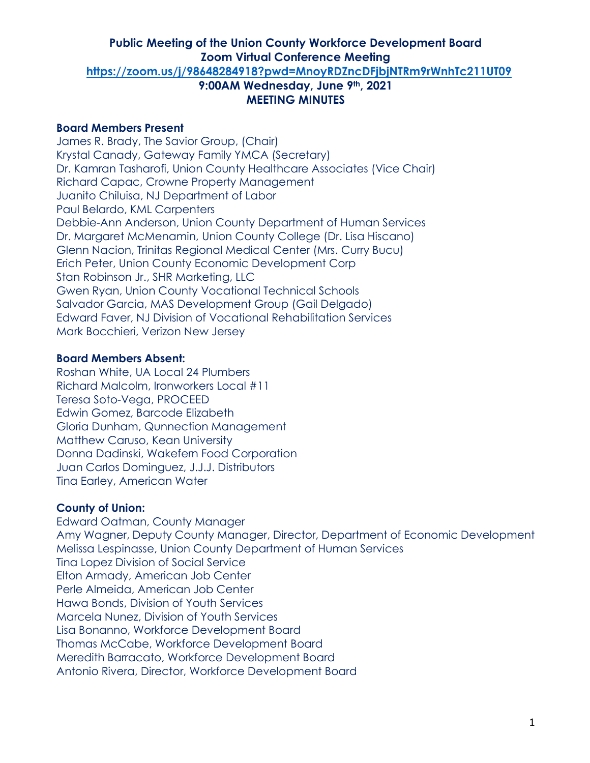### **Board Members Present**

James R. Brady, The Savior Group, (Chair) Krystal Canady, Gateway Family YMCA (Secretary) Dr. Kamran Tasharofi, Union County Healthcare Associates (Vice Chair) Richard Capac, Crowne Property Management Juanito Chiluisa, NJ Department of Labor Paul Belardo, KML Carpenters Debbie-Ann Anderson, Union County Department of Human Services Dr. Margaret McMenamin, Union County College (Dr. Lisa Hiscano) Glenn Nacion, Trinitas Regional Medical Center (Mrs. Curry Bucu) Erich Peter, Union County Economic Development Corp Stan Robinson Jr., SHR Marketing, LLC Gwen Ryan, Union County Vocational Technical Schools Salvador Garcia, MAS Development Group (Gail Delgado) Edward Faver, NJ Division of Vocational Rehabilitation Services Mark Bocchieri, Verizon New Jersey

### **Board Members Absent:**

Roshan White, UA Local 24 Plumbers Richard Malcolm, Ironworkers Local #11 Teresa Soto-Vega, PROCEED Edwin Gomez, Barcode Elizabeth Gloria Dunham, Qunnection Management Matthew Caruso, Kean University Donna Dadinski, Wakefern Food Corporation Juan Carlos Dominguez, J.J.J. Distributors Tina Earley, American Water

### **County of Union:**

Edward Oatman, County Manager Amy Wagner, Deputy County Manager, Director, Department of Economic Development Melissa Lespinasse, Union County Department of Human Services Tina Lopez Division of Social Service Elton Armady, American Job Center Perle Almeida, American Job Center Hawa Bonds, Division of Youth Services Marcela Nunez, Division of Youth Services Lisa Bonanno, Workforce Development Board Thomas McCabe, Workforce Development Board Meredith Barracato, Workforce Development Board Antonio Rivera, Director, Workforce Development Board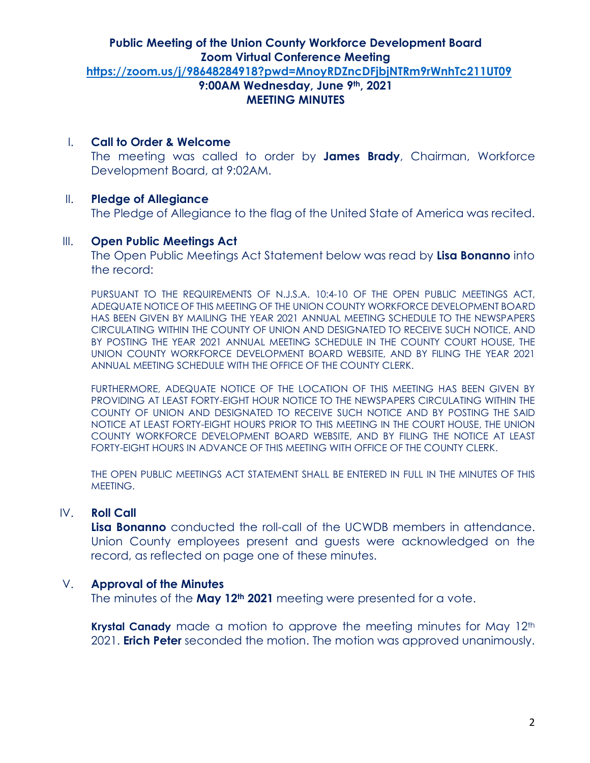### I. **Call to Order & Welcome**

The meeting was called to order by **James Brady**, Chairman, Workforce Development Board, at 9:02AM.

### II. **Pledge of Allegiance**

The Pledge of Allegiance to the flag of the United State of America was recited.

### III. **Open Public Meetings Act**

The Open Public Meetings Act Statement below was read by **Lisa Bonanno** into the record:

PURSUANT TO THE REQUIREMENTS OF N.J.S.A. 10:4-10 OF THE OPEN PUBLIC MEETINGS ACT, ADEQUATE NOTICE OF THIS MEETING OF THE UNION COUNTY WORKFORCE DEVELOPMENT BOARD HAS BEEN GIVEN BY MAILING THE YEAR 2021 ANNUAL MEETING SCHEDULE TO THE NEWSPAPERS CIRCULATING WITHIN THE COUNTY OF UNION AND DESIGNATED TO RECEIVE SUCH NOTICE, AND BY POSTING THE YEAR 2021 ANNUAL MEETING SCHEDULE IN THE COUNTY COURT HOUSE, THE UNION COUNTY WORKFORCE DEVELOPMENT BOARD WEBSITE, AND BY FILING THE YEAR 2021 ANNUAL MEETING SCHEDULE WITH THE OFFICE OF THE COUNTY CLERK.

FURTHERMORE, ADEQUATE NOTICE OF THE LOCATION OF THIS MEETING HAS BEEN GIVEN BY PROVIDING AT LEAST FORTY-EIGHT HOUR NOTICE TO THE NEWSPAPERS CIRCULATING WITHIN THE COUNTY OF UNION AND DESIGNATED TO RECEIVE SUCH NOTICE AND BY POSTING THE SAID NOTICE AT LEAST FORTY-EIGHT HOURS PRIOR TO THIS MEETING IN THE COURT HOUSE, THE UNION COUNTY WORKFORCE DEVELOPMENT BOARD WEBSITE, AND BY FILING THE NOTICE AT LEAST FORTY-EIGHT HOURS IN ADVANCE OF THIS MEETING WITH OFFICE OF THE COUNTY CLERK.

THE OPEN PUBLIC MEETINGS ACT STATEMENT SHALL BE ENTERED IN FULL IN THE MINUTES OF THIS MEETING.

### IV. **Roll Call**

**Lisa Bonanno** conducted the roll-call of the UCWDB members in attendance. Union County employees present and guests were acknowledged on the record, as reflected on page one of these minutes.

### V. **Approval of the Minutes**

The minutes of the **May 12th 2021** meeting were presented for a vote.

**Krystal Canady** made a motion to approve the meeting minutes for May 12<sup>th</sup> 2021. **Erich Peter** seconded the motion. The motion was approved unanimously.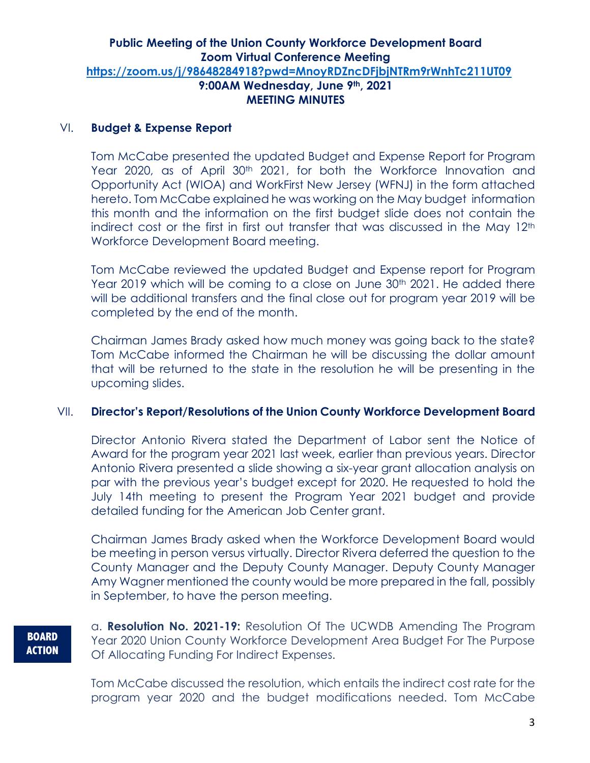#### VI. **Budget & Expense Report**

Tom McCabe presented the updated Budget and Expense Report for Program Year 2020, as of April 30<sup>th</sup> 2021, for both the Workforce Innovation and Opportunity Act (WIOA) and WorkFirst New Jersey (WFNJ) in the form attached hereto. Tom McCabe explained he was working on the May budget information this month and the information on the first budget slide does not contain the indirect cost or the first in first out transfer that was discussed in the May 12<sup>th</sup> Workforce Development Board meeting.

Tom McCabe reviewed the updated Budget and Expense report for Program Year 2019 which will be coming to a close on June 30th 2021. He added there will be additional transfers and the final close out for program year 2019 will be completed by the end of the month.

Chairman James Brady asked how much money was going back to the state? Tom McCabe informed the Chairman he will be discussing the dollar amount that will be returned to the state in the resolution he will be presenting in the upcoming slides.

### VII. **Director's Report/Resolutions of the Union County Workforce Development Board**

Director Antonio Rivera stated the Department of Labor sent the Notice of Award for the program year 2021 last week, earlier than previous years. Director Antonio Rivera presented a slide showing a six-year grant allocation analysis on par with the previous year's budget except for 2020. He requested to hold the July 14th meeting to present the Program Year 2021 budget and provide detailed funding for the American Job Center grant.

Chairman James Brady asked when the Workforce Development Board would be meeting in person versus virtually. Director Rivera deferred the question to the County Manager and the Deputy County Manager. Deputy County Manager Amy Wagner mentioned the county would be more prepared in the fall, possibly in September, to have the person meeting.

**BOARD ACTION** a. **Resolution No. 2021-19:** Resolution Of The UCWDB Amending The Program Year 2020 Union County Workforce Development Area Budget For The Purpose Of Allocating Funding For Indirect Expenses.

Tom McCabe discussed the resolution, which entails the indirect cost rate for the program year 2020 and the budget modifications needed. Tom McCabe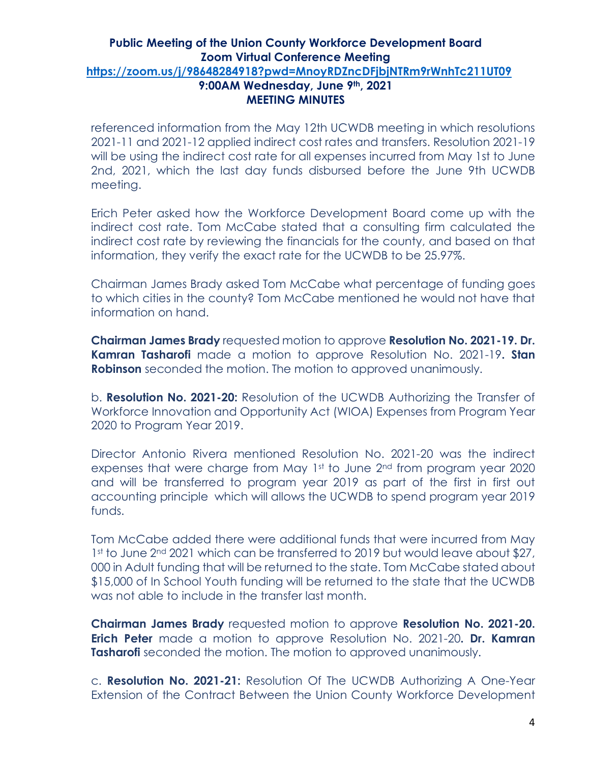referenced information from the May 12th UCWDB meeting in which resolutions 2021-11 and 2021-12 applied indirect cost rates and transfers. Resolution 2021-19 will be using the indirect cost rate for all expenses incurred from May 1st to June 2nd, 2021, which the last day funds disbursed before the June 9th UCWDB meeting.

Erich Peter asked how the Workforce Development Board come up with the indirect cost rate. Tom McCabe stated that a consulting firm calculated the indirect cost rate by reviewing the financials for the county, and based on that information, they verify the exact rate for the UCWDB to be 25.97%.

Chairman James Brady asked Tom McCabe what percentage of funding goes to which cities in the county? Tom McCabe mentioned he would not have that information on hand.

**Chairman James Brady** requested motion to approve **Resolution No. 2021-19. Dr. Kamran Tasharofi** made a motion to approve Resolution No. 2021-19**. Stan Robinson** seconded the motion. The motion to approved unanimously.

b. **Resolution No. 2021-20:** Resolution of the UCWDB Authorizing the Transfer of Workforce Innovation and Opportunity Act (WIOA) Expenses from Program Year 2020 to Program Year 2019.

Director Antonio Rivera mentioned Resolution No. 2021-20 was the indirect expenses that were charge from May 1st to June 2<sup>nd</sup> from program year 2020 and will be transferred to program year 2019 as part of the first in first out accounting principle which will allows the UCWDB to spend program year 2019 funds.

Tom McCabe added there were additional funds that were incurred from May 1st to June 2<sup>nd</sup> 2021 which can be transferred to 2019 but would leave about \$27, 000 in Adult funding that will be returned to the state. Tom McCabe stated about \$15,000 of In School Youth funding will be returned to the state that the UCWDB was not able to include in the transfer last month.

**Chairman James Brady** requested motion to approve **Resolution No. 2021-20. Erich Peter** made a motion to approve Resolution No. 2021-20**. Dr. Kamran Tasharofi** seconded the motion. The motion to approved unanimously.

c. **Resolution No. 2021-21:** Resolution Of The UCWDB Authorizing A One-Year Extension of the Contract Between the Union County Workforce Development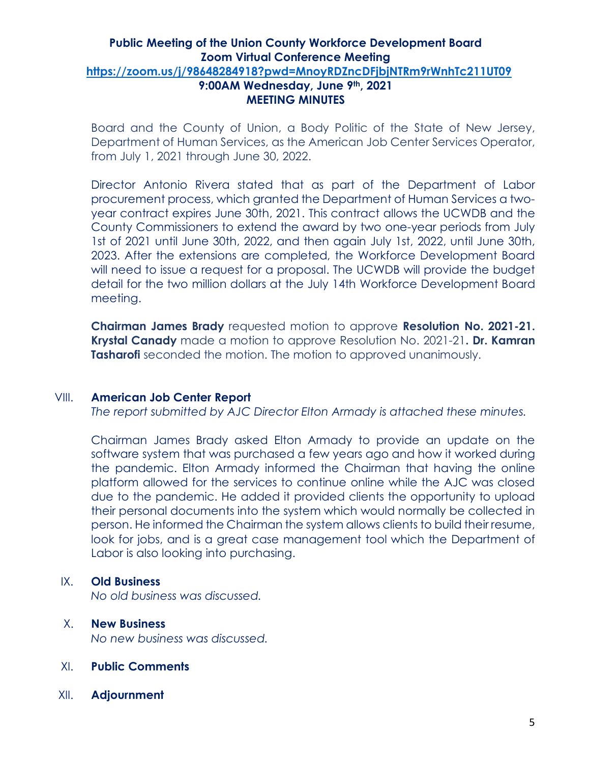Board and the County of Union, a Body Politic of the State of New Jersey, Department of Human Services, as the American Job Center Services Operator, from July 1, 2021 through June 30, 2022.

Director Antonio Rivera stated that as part of the Department of Labor procurement process, which granted the Department of Human Services a twoyear contract expires June 30th, 2021. This contract allows the UCWDB and the County Commissioners to extend the award by two one-year periods from July 1st of 2021 until June 30th, 2022, and then again July 1st, 2022, until June 30th, 2023. After the extensions are completed, the Workforce Development Board will need to issue a request for a proposal. The UCWDB will provide the budget detail for the two million dollars at the July 14th Workforce Development Board meeting.

**Chairman James Brady** requested motion to approve **Resolution No. 2021-21. Krystal Canady** made a motion to approve Resolution No. 2021-21**. Dr. Kamran Tasharofi** seconded the motion. The motion to approved unanimously.

#### VIII. **American Job Center Report**

*The report submitted by AJC Director Elton Armady is attached these minutes.*

Chairman James Brady asked Elton Armady to provide an update on the software system that was purchased a few years ago and how it worked during the pandemic. Elton Armady informed the Chairman that having the online platform allowed for the services to continue online while the AJC was closed due to the pandemic. He added it provided clients the opportunity to upload their personal documents into the system which would normally be collected in person. He informed the Chairman the system allows clients to build their resume, look for jobs, and is a great case management tool which the Department of Labor is also looking into purchasing.

### IX. **Old Business**

*No old business was discussed.*

# X. **New Business** *No new business was discussed.*

- XI. **Public Comments**
- XII. **Adjournment**